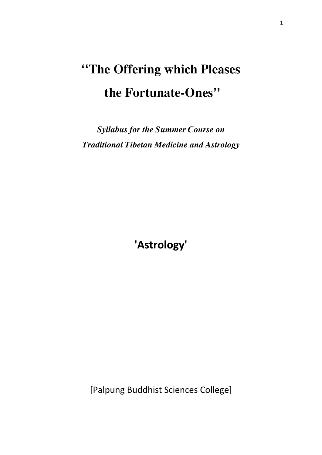# **''The Offering which Pleases the Fortunate-Ones''**

*Syllabus for the Summer Course on Traditional Tibetan Medicine and Astrology*

**'Astrology'**

[Palpung Buddhist Sciences College]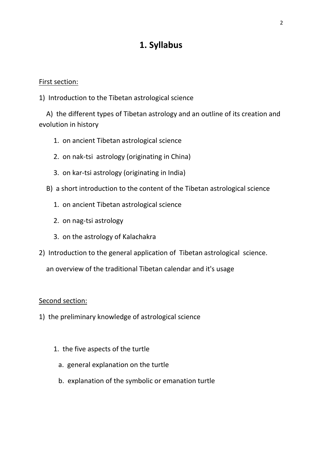# **1. Syllabus**

#### First section:

1) Introduction to the Tibetan astrological science

A) the different types of Tibetan astrology and an outline of its creation and evolution in history

- 1. on ancient Tibetan astrological science
- 2. on nak-tsi astrology (originating in China)
- 3. on kar-tsi astrology (originating in India)
- B) a short introduction to the content of the Tibetan astrological science
	- 1. on ancient Tibetan astrological science
	- 2. on nag-tsi astrology
	- 3. on the astrology of Kalachakra
- 2) Introduction to the general application of Tibetan astrological science.

an overview of the traditional Tibetan calendar and it's usage

#### Second section:

- 1) the preliminary knowledge of astrological science
	- 1. the five aspects of the turtle
		- a. general explanation on the turtle
		- b. explanation of the symbolic or emanation turtle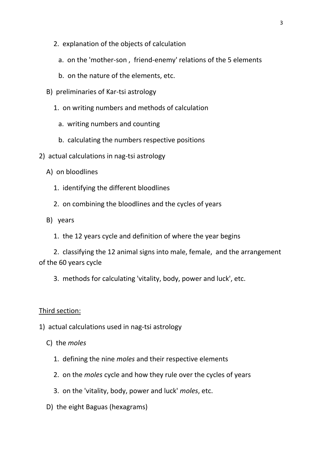- 2. explanation of the objects of calculation
	- a. on the 'mother-son , friend-enemy' relations of the 5 elements
	- b. on the nature of the elements, etc.
- B) preliminaries of Kar-tsi astrology
	- 1. on writing numbers and methods of calculation
		- a. writing numbers and counting
		- b. calculating the numbers respective positions
- 2) actual calculations in nag-tsi astrology
	- A) on bloodlines
		- 1. identifying the different bloodlines
		- 2. on combining the bloodlines and the cycles of years
	- B) years
		- 1. the 12 years cycle and definition of where the year begins

2. classifying the 12 animal signs into male, female, and the arrangement of the 60 years cycle

3. methods for calculating 'vitality, body, power and luck', etc.

#### Third section:

1) actual calculations used in nag-tsi astrology

- C) the *moles*
	- 1. defining the nine *moles* and their respective elements
	- 2. on the *moles* cycle and how they rule over the cycles of years
	- 3. on the 'vitality, body, power and luck' *moles*, etc.
- D) the eight Baguas (hexagrams)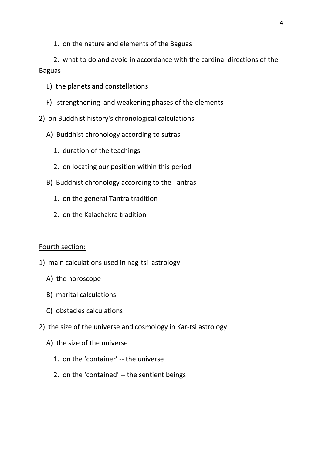1. on the nature and elements of the Baguas

2. what to do and avoid in accordance with the cardinal directions of the Baguas

- E) the planets and constellations
- F) strengthening and weakening phases of the elements
- 2) on Buddhist history's chronological calculations
	- A) Buddhist chronology according to sutras
		- 1. duration of the teachings
		- 2. on locating our position within this period
	- B) Buddhist chronology according to the Tantras
		- 1. on the general Tantra tradition
		- 2. on the Kalachakra tradition

#### Fourth section:

- 1) main calculations used in nag-tsi astrology
	- A) the horoscope
	- B) marital calculations
	- C) obstacles calculations
- 2) the size of the universe and cosmology in Kar-tsi astrology
	- A) the size of the universe
		- 1. on the 'container' -- the universe
		- 2. on the 'contained' -- the sentient beings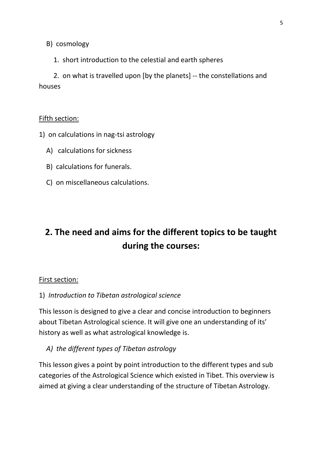B) cosmology

1. short introduction to the celestial and earth spheres

2. on what is travelled upon [by the planets] -- the constellations and houses

#### Fifth section:

- 1) on calculations in nag-tsi astrology
	- A) calculations for sickness
	- B) calculations for funerals.
	- C) on miscellaneous calculations.

# **2. The need and aims for the different topics to be taught during the courses:**

#### First section:

1) *Introduction to Tibetan astrological science*

This lesson is designed to give a clear and concise introduction to beginners about Tibetan Astrological science. It will give one an understanding of its' history as well as what astrological knowledge is.

*A) the different types of Tibetan astrology* 

This lesson gives a point by point introduction to the different types and sub categories of the Astrological Science which existed in Tibet. This overview is aimed at giving a clear understanding of the structure of Tibetan Astrology.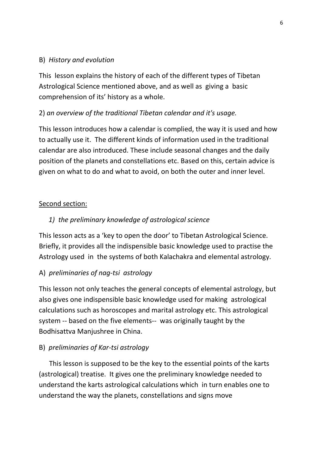#### B) *History and evolution*

This lesson explains the history of each of the different types of Tibetan Astrological Science mentioned above, and as well as giving a basic comprehension of its' history as a whole.

#### 2) *an overview of the traditional Tibetan calendar and it's usage.*

This lesson introduces how a calendar is complied, the way it is used and how to actually use it. The different kinds of information used in the traditional calendar are also introduced. These include seasonal changes and the daily position of the planets and constellations etc. Based on this, certain advice is given on what to do and what to avoid, on both the outer and inner level.

#### Second section:

#### *1) the preliminary knowledge of astrological science*

This lesson acts as a 'key to open the door' to Tibetan Astrological Science. Briefly, it provides all the indispensible basic knowledge used to practise the Astrology used in the systems of both Kalachakra and elemental astrology.

#### A) *preliminaries of nag-tsi astrology*

This lesson not only teaches the general concepts of elemental astrology, but also gives one indispensible basic knowledge used for making astrological calculations such as horoscopes and marital astrology etc. This astrological system -- based on the five elements-- was originally taught by the Bodhisattva Manjushree in China.

#### B) *preliminaries of Kar-tsi astrology*

 This lesson is supposed to be the key to the essential points of the karts (astrological) treatise. It gives one the preliminary knowledge needed to understand the karts astrological calculations which in turn enables one to understand the way the planets, constellations and signs move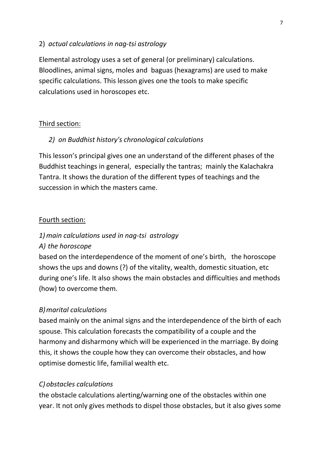#### 2) *actual calculations in nag-tsi astrology*

Elemental astrology uses a set of general (or preliminary) calculations. Bloodlines, animal signs, moles and baguas (hexagrams) are used to make specific calculations. This lesson gives one the tools to make specific calculations used in horoscopes etc.

#### Third section:

#### *2) on Buddhist history's chronological calculations*

This lesson's principal gives one an understand of the different phases of the Buddhist teachings in general, especially the tantras; mainly the Kalachakra Tantra. It shows the duration of the different types of teachings and the succession in which the masters came.

#### Fourth section:

#### *1) main calculations used in nag-tsi astrology*

#### *A) the horoscope*

based on the interdependence of the moment of one's birth, the horoscope shows the ups and downs (?) of the vitality, wealth, domestic situation, etc during one's life. It also shows the main obstacles and difficulties and methods (how) to overcome them.

#### *B)marital calculations*

based mainly on the animal signs and the interdependence of the birth of each spouse. This calculation forecasts the compatibility of a couple and the harmony and disharmony which will be experienced in the marriage. By doing this, it shows the couple how they can overcome their obstacles, and how optimise domestic life, familial wealth etc.

#### *C) obstacles calculations*

the obstacle calculations alerting/warning one of the obstacles within one year. It not only gives methods to dispel those obstacles, but it also gives some